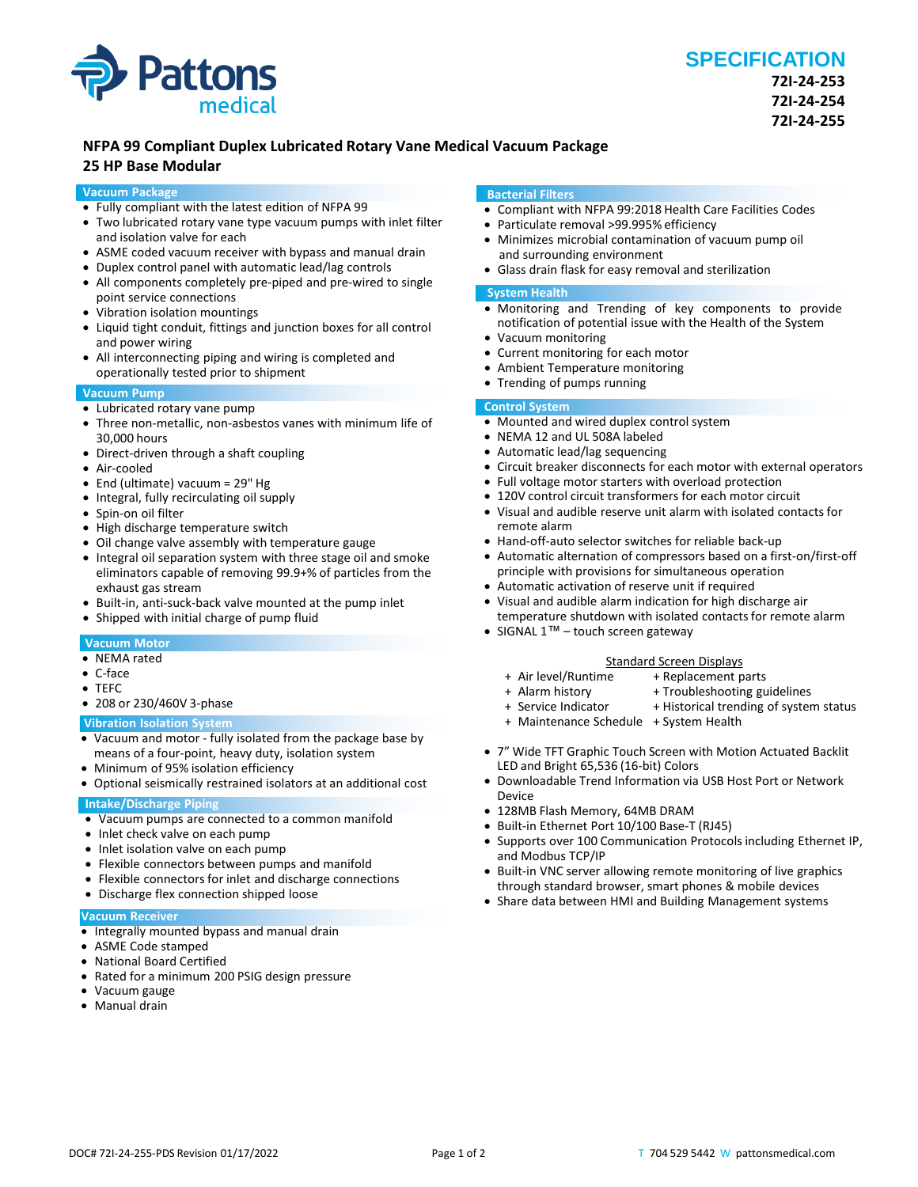

# **NFPA 99 Compliant Duplex Lubricated Rotary Vane Medical Vacuum Package**

## **25 HP Base Modular**

## **Vacuum Package**

- Fully compliant with the latest edition of NFPA 99
- Two lubricated rotary vane type vacuum pumps with inlet filter and isolation valve for each
- ASME coded vacuum receiver with bypass and manual drain
- Duplex control panel with automatic lead/lag controls
- All components completely pre-piped and pre-wired to single point service connections
- Vibration isolation mountings
- Liquid tight conduit, fittings and junction boxes for all control and power wiring
- All interconnecting piping and wiring is completed and operationally tested prior to shipment

## **Vacuum Pump**

- Lubricated rotary vane pump
- Three non-metallic, non-asbestos vanes with minimum life of 30,000 hours
- Direct-driven through a shaft coupling
- Air-cooled
- End (ultimate) vacuum = 29" Hg
- Integral, fully recirculating oil supply
- Spin-on oil filter
- High discharge temperature switch
- Oil change valve assembly with temperature gauge
- Integral oil separation system with three stage oil and smoke eliminators capable of removing 99.9+% of particles from the exhaust gas stream
- Built-in, anti-suck-back valve mounted at the pump inlet
- Shipped with initial charge of pump fluid

## **Vacuum Motor**

- NEMA rated
- C-face
- TEFC
- 208 or 230/460V 3-phase

## **Vibration Isolation System**

- Vacuum and motor fully isolated from the package base by means of a four-point, heavy duty, isolation system
- Minimum of 95% isolation efficiency
- Optional seismically restrained isolators at an additional cost

## **Intake/Discharge Piping**

- Vacuum pumps are connected to a common manifold
- Inlet check valve on each pump
- Inlet isolation valve on each pump
- Flexible connectors between pumps and manifold
- Flexible connectors for inlet and discharge connections
- Discharge flex connection shipped loose

### **Vacuum Receiver**

- Integrally mounted bypass and manual drain
- ASME Code stamped
- National Board Certified
- Rated for a minimum 200 PSIG design pressure
- Vacuum gauge
- Manual drain

#### **Bacterial Filters**

- Compliant with NFPA 99:2018 Health Care Facilities Codes
- Particulate removal >99.995% efficiency
- Minimizes microbial contamination of vacuum pump oil and surrounding environment
- Glass drain flask for easy removal and sterilization

## **System Health**

- Monitoring and Trending of key components to provide notification of potential issue with the Health of the System
- Vacuum monitoring
- Current monitoring for each motor
- Ambient Temperature monitoring
- Trending of pumps running

# **Control System**

- Mounted and wired duplex control system
- NEMA 12 and UL 508A labeled
- Automatic lead/lag sequencing
- Circuit breaker disconnects for each motor with external operators
- Full voltage motor starters with overload protection
- 120V control circuit transformers for each motor circuit
- Visual and audible reserve unit alarm with isolated contacts for remote alarm
- Hand-off-auto selector switches for reliable back-up
- Automatic alternation of compressors based on a first-on/first-off principle with provisions for simultaneous operation
- Automatic activation of reserve unit if required
- Visual and audible alarm indication for high discharge air temperature shutdown with isolated contacts for remote alarm
- SIGNAL 1™ touch screen gateway

#### Standard Screen Displays<br>Air level/Runtime + Replacement p + + Replacement parts

- 
- 
- + Alarm history + Troubleshooting guidelines<br>+ Service Indicator + Historical trending of syster
	- + Historical trending of system status
- + Maintenance Schedule + System Health
- 7" Wide TFT Graphic Touch Screen with Motion Actuated Backlit LED and Bright 65,536 (16-bit) Colors
- Downloadable Trend Information via USB Host Port or Network Device
- 128MB Flash Memory, 64MB DRAM
- Built-in Ethernet Port 10/100 Base-T (RJ45)
- Supports over 100 Communication Protocols including Ethernet IP, and Modbus TCP/IP
- Built-in VNC server allowing remote monitoring of live graphics through standard browser, smart phones & mobile devices
- Share data between HMI and Building Management systems